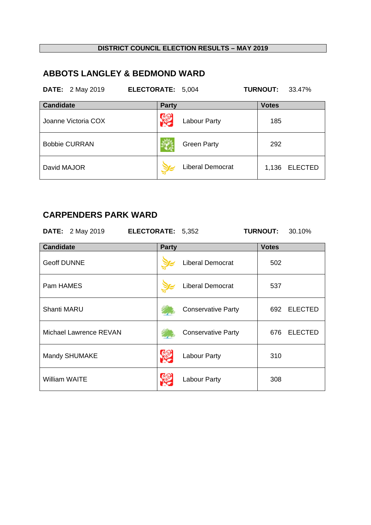# **ABBOTS LANGLEY & BEDMOND WARD**

| <b>DATE:</b> 2 May 2019 | ELECTORATE: 5,004 |                         | <b>TURNOUT:</b><br>33.47% |
|-------------------------|-------------------|-------------------------|---------------------------|
| <b>Candidate</b>        | <b>Party</b>      |                         | <b>Votes</b>              |
| Joanne Victoria COX     |                   | <b>Labour Party</b>     | 185                       |
| <b>Bobbie CURRAN</b>    |                   | <b>Green Party</b>      | 292                       |
| David MAJOR             |                   | <b>Liberal Democrat</b> | <b>ELECTED</b><br>1,136   |

## **CARPENDERS PARK WARD**

| <b>DATE:</b> 2 May 2019 | ELECTORATE: 5,352 |                           | <b>TURNOUT:</b> | 30.10%         |
|-------------------------|-------------------|---------------------------|-----------------|----------------|
| <b>Candidate</b>        | <b>Party</b>      |                           | <b>Votes</b>    |                |
| <b>Geoff DUNNE</b>      |                   | Liberal Democrat          | 502             |                |
| Pam HAMES               |                   | <b>Liberal Democrat</b>   | 537             |                |
| <b>Shanti MARU</b>      |                   | <b>Conservative Party</b> | 692             | <b>ELECTED</b> |
| Michael Lawrence REVAN  |                   | <b>Conservative Party</b> | 676             | <b>ELECTED</b> |
| Mandy SHUMAKE           |                   | <b>Labour Party</b>       | 310             |                |
| <b>William WAITE</b>    |                   | <b>Labour Party</b>       | 308             |                |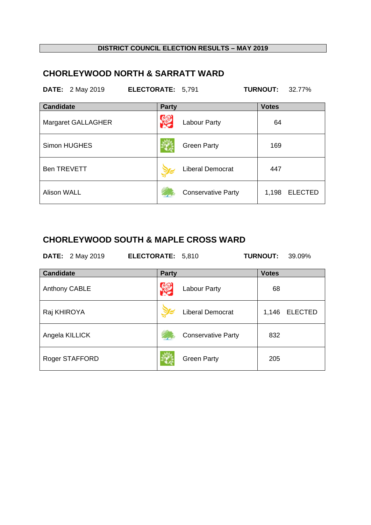# **CHORLEYWOOD NORTH & SARRATT WARD**

| <b>DATE:</b> 2 May 2019 | ELECTORATE: 5,791 |                           | <b>TURNOUT:</b><br>32.77% |
|-------------------------|-------------------|---------------------------|---------------------------|
| <b>Candidate</b>        | <b>Party</b>      |                           | <b>Votes</b>              |
| Margaret GALLAGHER      |                   | <b>Labour Party</b>       | 64                        |
| <b>Simon HUGHES</b>     |                   | <b>Green Party</b>        | 169                       |
| <b>Ben TREVETT</b>      |                   | <b>Liberal Democrat</b>   | 447                       |
| <b>Alison WALL</b>      |                   | <b>Conservative Party</b> | 1,198<br><b>ELECTED</b>   |

### **CHORLEYWOOD SOUTH & MAPLE CROSS WARD**

| <b>DATE:</b> 2 May 2019 | <b>ELECTORATE: 5,810</b> | <b>TURNOUT: 39.09%</b> |  |
|-------------------------|--------------------------|------------------------|--|
|                         |                          |                        |  |

| <b>Candidate</b> | <b>Party</b>       | <b>Votes</b>                     |                |
|------------------|--------------------|----------------------------------|----------------|
| Anthony CABLE    | Labour Party       |                                  | 68             |
| Raj KHIROYA      |                    | <b>Liberal Democrat</b><br>1,146 | <b>ELECTED</b> |
| Angela KILLICK   |                    | <b>Conservative Party</b>        | 832            |
| Roger STAFFORD   | <b>Green Party</b> |                                  | 205            |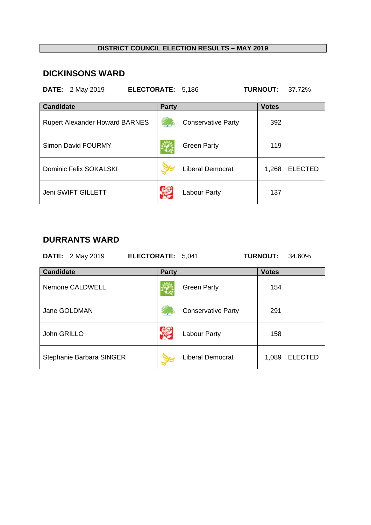#### **DICKINSONS WARD**

**DATE:** 2 May 2019 **ELECTORATE:** 5,186 **TURNOUT:** 37.72% **Candidate** Votes **Party Party** Votes Rupert Alexander Howard BARNES Conservative Party 392 Simon David FOURMY **Simon David FOURMY Green Party** Green Party Dominic Felix SOKALSKI **Democrat** 1,268 ELECTED Jeni SWIFT GILLETT **Labour Party** Labour Party 137

#### **DURRANTS WARD**

|                  | <b>DATE:</b> 2 May 2019  | ELECTORATE: 5,041 |              |                           | <b>TURNOUT:</b> | 34.60%         |
|------------------|--------------------------|-------------------|--------------|---------------------------|-----------------|----------------|
| <b>Candidate</b> |                          |                   | <b>Party</b> |                           | <b>Votes</b>    |                |
|                  | Nemone CALDWELL          |                   |              | <b>Green Party</b>        | 154             |                |
|                  | Jane GOLDMAN             |                   |              | <b>Conservative Party</b> | 291             |                |
| John GRILLO      |                          |                   |              | Labour Party              | 158             |                |
|                  | Stephanie Barbara SINGER |                   |              | <b>Liberal Democrat</b>   | 1,089           | <b>ELECTED</b> |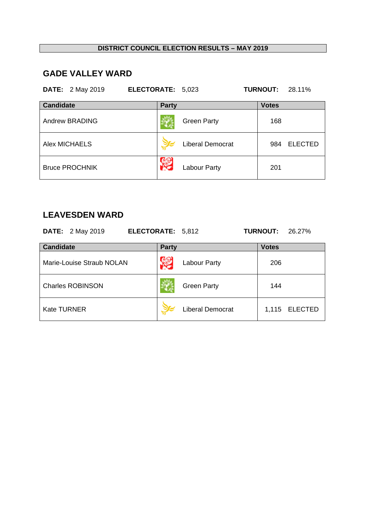# **GADE VALLEY WARD**

|                  | <b>DATE:</b> 2 May 2019 | ELECTORATE: 5,023 |              |                         | <b>TURNOUT:</b> | 28.11%         |
|------------------|-------------------------|-------------------|--------------|-------------------------|-----------------|----------------|
| <b>Candidate</b> |                         |                   | <b>Party</b> |                         | <b>Votes</b>    |                |
|                  | Andrew BRADING          |                   |              | <b>Green Party</b>      | 168             |                |
|                  | Alex MICHAELS           |                   |              | <b>Liberal Democrat</b> | 984             | <b>ELECTED</b> |
|                  | <b>Bruce PROCHNIK</b>   |                   |              | <b>Labour Party</b>     | 201             |                |

### **LEAVESDEN WARD**

| <b>DATE:</b> 2 May 2019   | ELECTORATE: 5,812       | <b>TURNOUT:</b><br>26.27% |
|---------------------------|-------------------------|---------------------------|
| <b>Candidate</b>          | <b>Party</b>            | <b>Votes</b>              |
| Marie-Louise Straub NOLAN | <b>Labour Party</b>     | 206                       |
| <b>Charles ROBINSON</b>   | <b>Green Party</b>      | 144                       |
| <b>Kate TURNER</b>        | <b>Liberal Democrat</b> | <b>ELECTED</b><br>1,115   |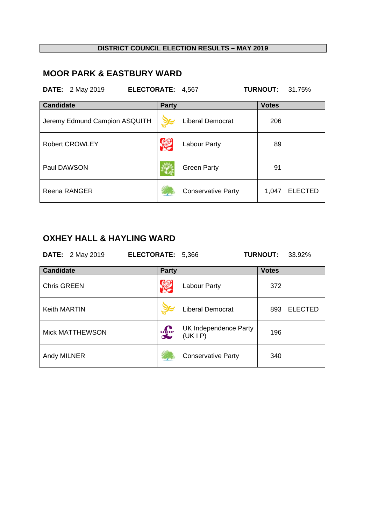# **MOOR PARK & EASTBURY WARD**

| <b>DATE:</b> 2 May 2019<br>ELECTORATE: 4,567 |              |                           | <b>TURNOUT:</b> | 31.75%         |
|----------------------------------------------|--------------|---------------------------|-----------------|----------------|
| <b>Candidate</b>                             | <b>Party</b> |                           | <b>Votes</b>    |                |
| Jeremy Edmund Campion ASQUITH                |              | Liberal Democrat          | 206             |                |
| <b>Robert CROWLEY</b>                        |              | Labour Party              | 89              |                |
| Paul DAWSON                                  |              | <b>Green Party</b>        | 91              |                |
| <b>Reena RANGER</b>                          |              | <b>Conservative Party</b> | 1,047           | <b>ELECTED</b> |

# **OXHEY HALL & HAYLING WARD**

| <b>DATE:</b> 2 May 2019 | ELECTORATE: 5,366 |                                   | <b>TURNOUT:</b> | 33.92%         |
|-------------------------|-------------------|-----------------------------------|-----------------|----------------|
| <b>Candidate</b>        | <b>Party</b>      |                                   | <b>Votes</b>    |                |
| <b>Chris GREEN</b>      |                   | Labour Party                      | 372             |                |
| <b>Keith MARTIN</b>     |                   | <b>Liberal Democrat</b>           | 893             | <b>ELECTED</b> |
| <b>Mick MATTHEWSON</b>  | <b>DELP</b>       | UK Independence Party<br>(UK I P) | 196             |                |
| Andy MILNER             |                   | <b>Conservative Party</b>         | 340             |                |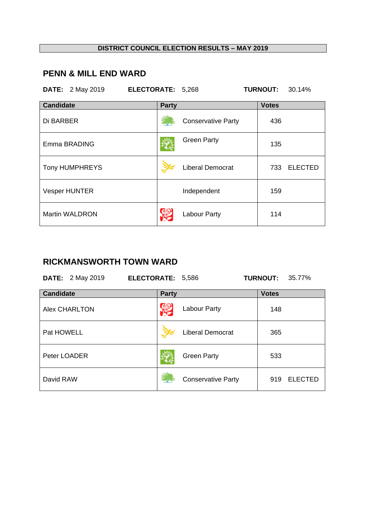# **PENN & MILL END WARD**

|                  | <b>DATE:</b> 2 May 2019 | ELECTORATE: 5,268 |              |                           | <b>TURNOUT:</b> | 30.14%         |
|------------------|-------------------------|-------------------|--------------|---------------------------|-----------------|----------------|
| <b>Candidate</b> |                         |                   | <b>Party</b> |                           | <b>Votes</b>    |                |
| Di BARBER        |                         |                   |              | <b>Conservative Party</b> | 436             |                |
|                  | Emma BRADING            |                   |              | <b>Green Party</b>        | 135             |                |
|                  | Tony HUMPHREYS          |                   |              | <b>Liberal Democrat</b>   | 733             | <b>ELECTED</b> |
|                  | <b>Vesper HUNTER</b>    |                   |              | Independent               | 159             |                |
|                  | <b>Martin WALDRON</b>   |                   |              | <b>Labour Party</b>       | 114             |                |

#### **RICKMANSWORTH TOWN WARD**

|                  | <b>DATE:</b> 2 May 2019 | ELECTORATE: 5,586 |              |                           | <b>TURNOUT:</b> | 35.77%         |
|------------------|-------------------------|-------------------|--------------|---------------------------|-----------------|----------------|
| <b>Candidate</b> |                         |                   | <b>Party</b> |                           | <b>Votes</b>    |                |
|                  | <b>Alex CHARLTON</b>    |                   |              | Labour Party              | 148             |                |
| Pat HOWELL       |                         |                   |              | <b>Liberal Democrat</b>   | 365             |                |
| Peter LOADER     |                         |                   |              | <b>Green Party</b>        | 533             |                |
| David RAW        |                         |                   |              | <b>Conservative Party</b> | 919             | <b>ELECTED</b> |